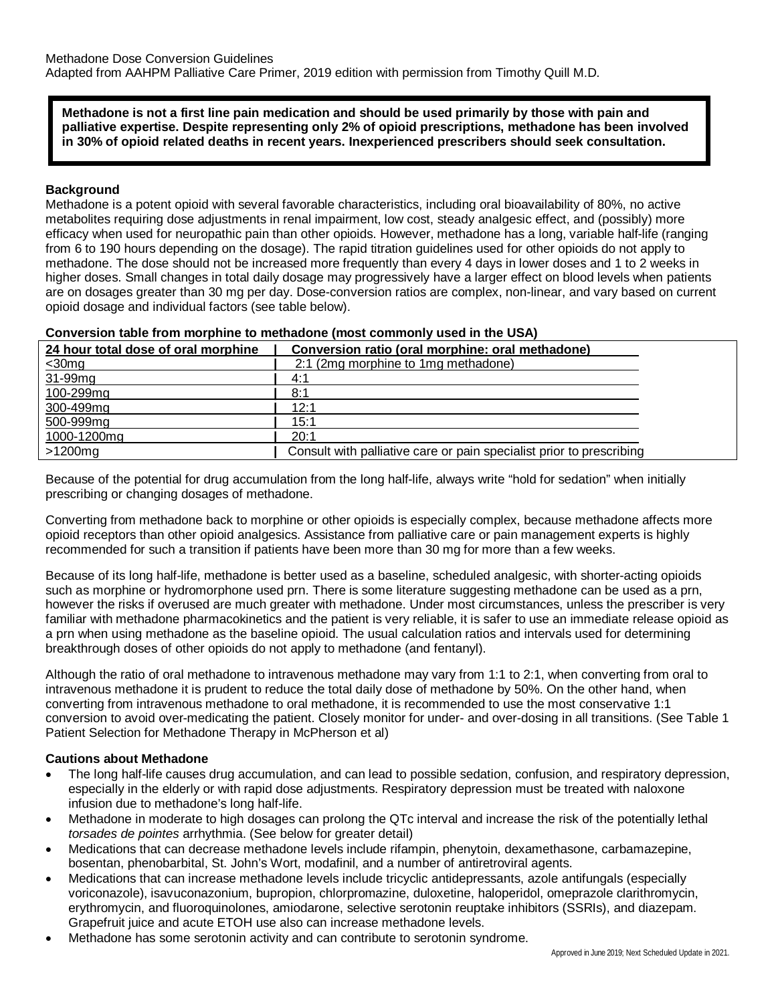**Methadone is not a first line pain medication and should be used primarily by those with pain and palliative expertise. Despite representing only 2% of opioid prescriptions, methadone has been involved in 30% of opioid related deaths in recent years. Inexperienced prescribers should seek consultation.**

#### **Background**

Methadone is a potent opioid with several favorable characteristics, including oral bioavailability of 80%, no active metabolites requiring dose adjustments in renal impairment, low cost, steady analgesic effect, and (possibly) more efficacy when used for neuropathic pain than other opioids. However, methadone has a long, variable half-life (ranging from 6 to 190 hours depending on the dosage). The rapid titration guidelines used for other opioids do not apply to methadone. The dose should not be increased more frequently than every 4 days in lower doses and 1 to 2 weeks in higher doses. Small changes in total daily dosage may progressively have a larger effect on blood levels when patients are on dosages greater than 30 mg per day. Dose-conversion ratios are complex, non-linear, and vary based on current opioid dosage and individual factors (see table below).

| Conversion table from morphine to methadone (most commonly used in the USA) |  |  |  |  |  |  |
|-----------------------------------------------------------------------------|--|--|--|--|--|--|
|                                                                             |  |  |  |  |  |  |

| 24 hour total dose of oral morphine | Conversion ratio (oral morphine: oral methadone)                     |  |
|-------------------------------------|----------------------------------------------------------------------|--|
| $\leq$ 30mg                         | 2:1 (2mg morphine to 1mg methadone)                                  |  |
| 31-99mg                             | 4:1                                                                  |  |
| 100-299mg                           | 8:1                                                                  |  |
| 300-499mg                           | 12:1                                                                 |  |
| 500-999mg                           | 15:1                                                                 |  |
| 1000-1200mg                         | 20:1                                                                 |  |
| $>1200$ mg                          | Consult with palliative care or pain specialist prior to prescribing |  |

Because of the potential for drug accumulation from the long half-life, always write "hold for sedation" when initially prescribing or changing dosages of methadone.

Converting from methadone back to morphine or other opioids is especially complex, because methadone affects more opioid receptors than other opioid analgesics. Assistance from palliative care or pain management experts is highly recommended for such a transition if patients have been more than 30 mg for more than a few weeks.

Because of its long half-life, methadone is better used as a baseline, scheduled analgesic, with shorter-acting opioids such as morphine or hydromorphone used prn. There is some literature suggesting methadone can be used as a prn, however the risks if overused are much greater with methadone. Under most circumstances, unless the prescriber is very familiar with methadone pharmacokinetics and the patient is very reliable, it is safer to use an immediate release opioid as a prn when using methadone as the baseline opioid. The usual calculation ratios and intervals used for determining breakthrough doses of other opioids do not apply to methadone (and fentanyl).

Although the ratio of oral methadone to intravenous methadone may vary from 1:1 to 2:1, when converting from oral to intravenous methadone it is prudent to reduce the total daily dose of methadone by 50%. On the other hand, when converting from intravenous methadone to oral methadone, it is recommended to use the most conservative 1:1 conversion to avoid over-medicating the patient. Closely monitor for under- and over-dosing in all transitions. (See Table 1 Patient Selection for Methadone Therapy in McPherson et al)

#### **Cautions about Methadone**

- The long half-life causes drug accumulation, and can lead to possible sedation, confusion, and respiratory depression, especially in the elderly or with rapid dose adjustments. Respiratory depression must be treated with naloxone infusion due to methadone's long half-life.
- Methadone in moderate to high dosages can prolong the QTc interval and increase the risk of the potentially lethal *torsades de pointes* arrhythmia. (See below for greater detail)
- Medications that can decrease methadone levels include rifampin, phenytoin, dexamethasone, carbamazepine, bosentan, phenobarbital, St. John's Wort, modafinil, and a number of antiretroviral agents.
- Medications that can increase methadone levels include tricyclic antidepressants, azole antifungals (especially voriconazole), isavuconazonium, bupropion, chlorpromazine, duloxetine, haloperidol, omeprazole clarithromycin, erythromycin, and fluoroquinolones, amiodarone, selective serotonin reuptake inhibitors (SSRIs), and diazepam. Grapefruit juice and acute ETOH use also can increase methadone levels.
- Methadone has some serotonin activity and can contribute to serotonin syndrome.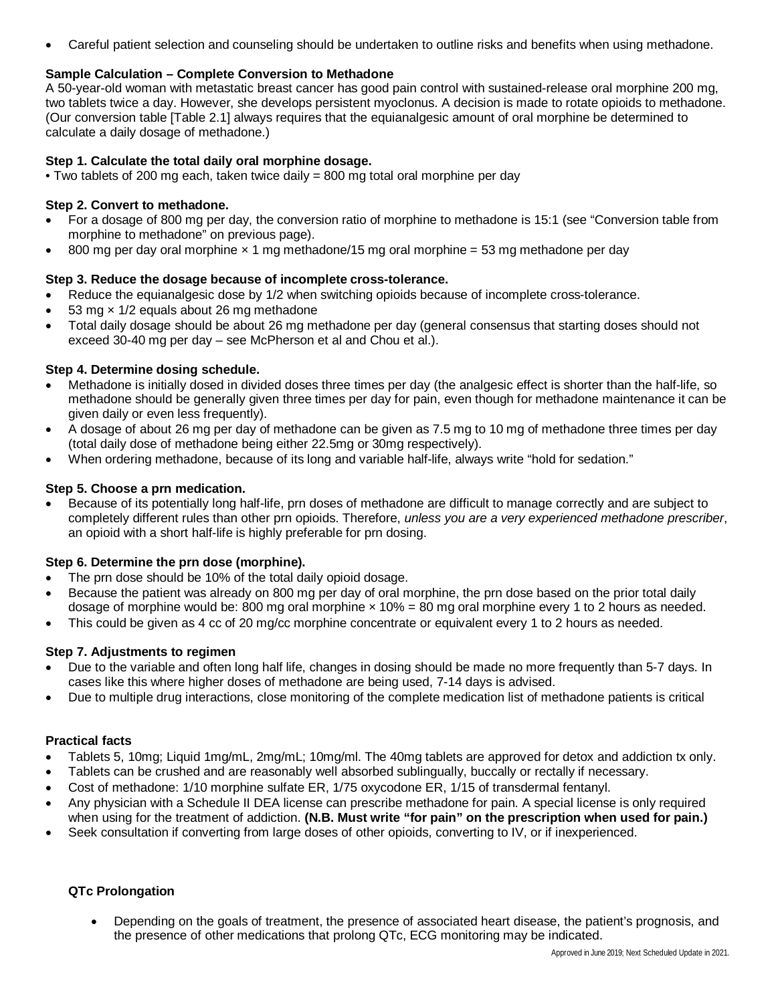• Careful patient selection and counseling should be undertaken to outline risks and benefits when using methadone.

## **Sample Calculation – Complete Conversion to Methadone**

A 50-year-old woman with metastatic breast cancer has good pain control with sustained-release oral morphine 200 mg, two tablets twice a day. However, she develops persistent myoclonus. A decision is made to rotate opioids to methadone. (Our conversion table [Table 2.1] always requires that the equianalgesic amount of oral morphine be determined to calculate a daily dosage of methadone.)

#### **Step 1. Calculate the total daily oral morphine dosage.**

• Two tablets of 200 mg each, taken twice daily = 800 mg total oral morphine per day

## **Step 2. Convert to methadone.**

- For a dosage of 800 mg per day, the conversion ratio of morphine to methadone is 15:1 (see "Conversion table from morphine to methadone" on previous page).
- 800 mg per day oral morphine  $\times$  1 mg methadone/15 mg oral morphine = 53 mg methadone per day

## **Step 3. Reduce the dosage because of incomplete cross-tolerance.**

- Reduce the equianalgesic dose by 1/2 when switching opioids because of incomplete cross-tolerance.
- 53 mg  $\times$  1/2 equals about 26 mg methadone
- Total daily dosage should be about 26 mg methadone per day (general consensus that starting doses should not exceed 30-40 mg per day – see McPherson et al and Chou et al.).

## **Step 4. Determine dosing schedule.**

- Methadone is initially dosed in divided doses three times per day (the analgesic effect is shorter than the half-life, so methadone should be generally given three times per day for pain, even though for methadone maintenance it can be given daily or even less frequently).
- A dosage of about 26 mg per day of methadone can be given as 7.5 mg to 10 mg of methadone three times per day (total daily dose of methadone being either 22.5mg or 30mg respectively).
- When ordering methadone, because of its long and variable half-life, always write "hold for sedation."

## **Step 5. Choose a prn medication.**

• Because of its potentially long half-life, prn doses of methadone are difficult to manage correctly and are subject to completely different rules than other prn opioids. Therefore, *unless you are a very experienced methadone prescriber*, an opioid with a short half-life is highly preferable for prn dosing.

#### **Step 6. Determine the prn dose (morphine).**

- The prn dose should be 10% of the total daily opioid dosage.
- Because the patient was already on 800 mg per day of oral morphine, the prn dose based on the prior total daily dosage of morphine would be: 800 mg oral morphine  $\times$  10% = 80 mg oral morphine every 1 to 2 hours as needed.
- This could be given as 4 cc of 20 mg/cc morphine concentrate or equivalent every 1 to 2 hours as needed.

#### **Step 7. Adjustments to regimen**

- Due to the variable and often long half life, changes in dosing should be made no more frequently than 5-7 days. In cases like this where higher doses of methadone are being used, 7-14 days is advised.
- Due to multiple drug interactions, close monitoring of the complete medication list of methadone patients is critical

#### **Practical facts**

- Tablets 5, 10mg; Liquid 1mg/mL, 2mg/mL; 10mg/ml. The 40mg tablets are approved for detox and addiction tx only.
- Tablets can be crushed and are reasonably well absorbed sublingually, buccally or rectally if necessary.
- Cost of methadone: 1/10 morphine sulfate ER, 1/75 oxycodone ER, 1/15 of transdermal fentanyl.
- Any physician with a Schedule II DEA license can prescribe methadone for pain. A special license is only required when using for the treatment of addiction. **(N.B. Must write "for pain" on the prescription when used for pain.)**
- Seek consultation if converting from large doses of other opioids, converting to IV, or if inexperienced.

# **QTc Prolongation**

• Depending on the goals of treatment, the presence of associated heart disease, the patient's prognosis, and the presence of other medications that prolong QTc, ECG monitoring may be indicated.